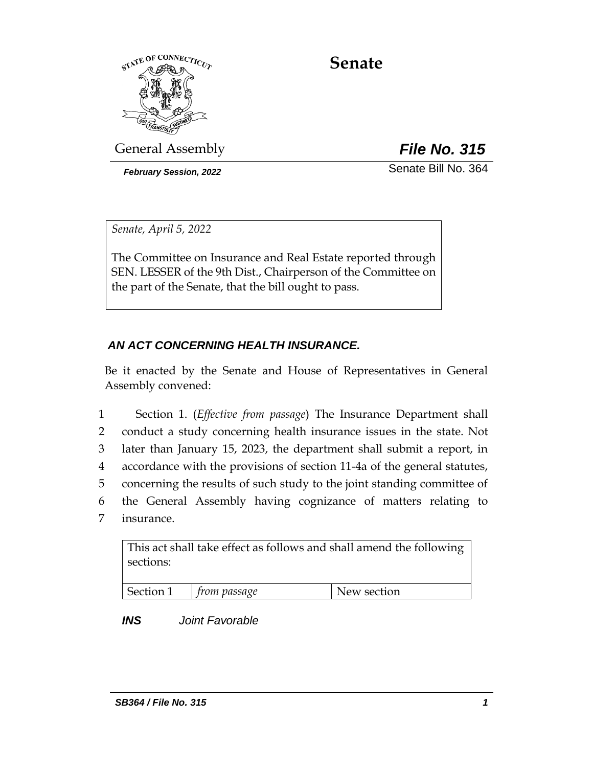

# **Senate**

General Assembly *File No. 315*

*February Session, 2022* Senate Bill No. 364

*Senate, April 5, 2022*

The Committee on Insurance and Real Estate reported through SEN. LESSER of the 9th Dist., Chairperson of the Committee on the part of the Senate, that the bill ought to pass.

## *AN ACT CONCERNING HEALTH INSURANCE.*

Be it enacted by the Senate and House of Representatives in General Assembly convened:

 Section 1. (*Effective from passage*) The Insurance Department shall conduct a study concerning health insurance issues in the state. Not later than January 15, 2023, the department shall submit a report, in accordance with the provisions of section 11-4a of the general statutes, concerning the results of such study to the joint standing committee of the General Assembly having cognizance of matters relating to insurance.

This act shall take effect as follows and shall amend the following sections:

| ∩n<br>- 14 | om passage | section<br>$\mathbf{u} \mapsto \mathbf{w}$ |
|------------|------------|--------------------------------------------|

*INS Joint Favorable*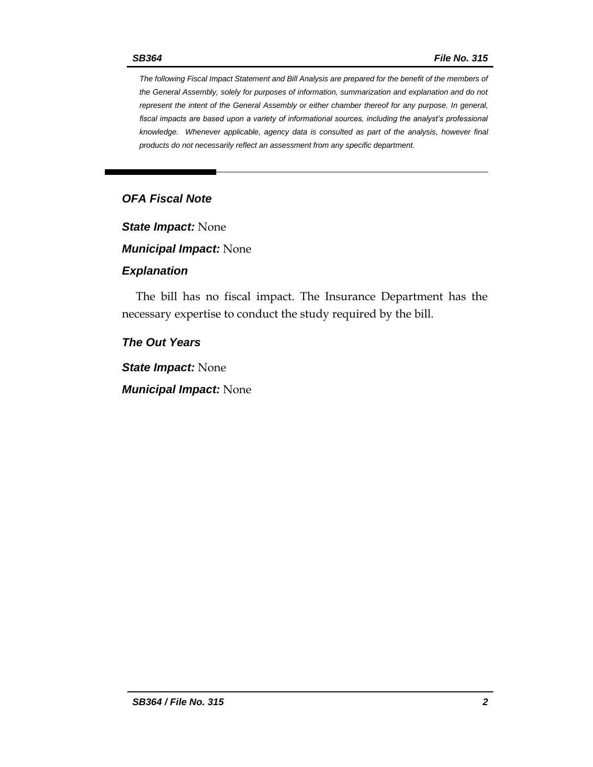*The following Fiscal Impact Statement and Bill Analysis are prepared for the benefit of the members of the General Assembly, solely for purposes of information, summarization and explanation and do not represent the intent of the General Assembly or either chamber thereof for any purpose. In general, fiscal impacts are based upon a variety of informational sources, including the analyst's professional knowledge. Whenever applicable, agency data is consulted as part of the analysis, however final products do not necessarily reflect an assessment from any specific department.*

## *OFA Fiscal Note*

*State Impact:* None

*Municipal Impact:* None

#### *Explanation*

The bill has no fiscal impact. The Insurance Department has the necessary expertise to conduct the study required by the bill.

#### *The Out Years*

*State Impact:* None

*Municipal Impact:* None